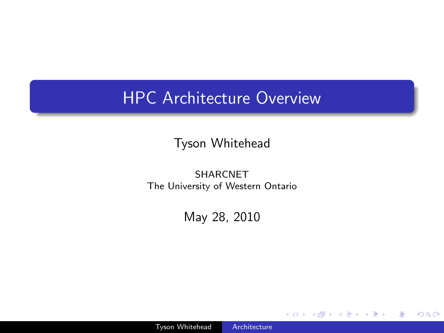# HPC Architecture Overview

Tyson Whitehead

SHARCNET The University of Western Ontario

May 28, 2010

 $\leftarrow$ 

 $\sim$ 

 $299$ 

<span id="page-0-0"></span>э

∍

 $\rightarrow$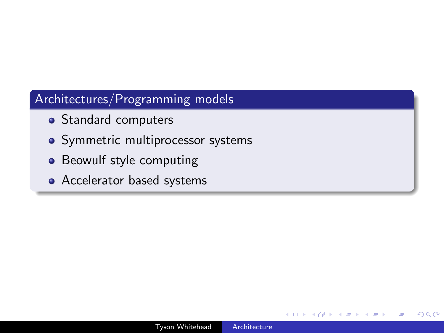### Architectures/Programming models

- Standard computers
- Symmetric multiprocessor systems
- Beowulf style computing
- Accelerator based systems

つくへ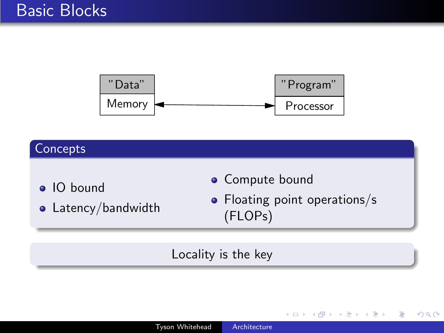

### **Concepts**

- IO bound
- Latency/bandwidth
- **·** Compute bound
- Floating point operations/s (FLOPs)

 $\leftarrow$ 

**K 母 ▶ → 手** 

э

 $\Omega$ 

### Locality is the key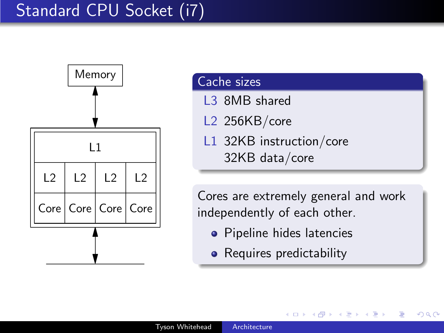# Standard CPU Socket (i7)



#### Cache sizes

- L3 8MB shared
- L2 256KB/core
- L1 32KB instruction/core 32KB data/core

Cores are extremely general and work independently of each other.

つくへ

- **•** Pipeline hides latencies
- Requires predictability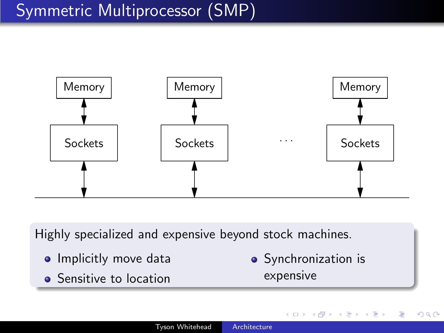# Symmetric Multiprocessor (SMP)



Highly specialized and expensive beyond stock machines.

- **•** Implicitly move data
- **•** Sensitive to location

• Synchronization is expensive

4母 ト 4回 ト

 $\Omega$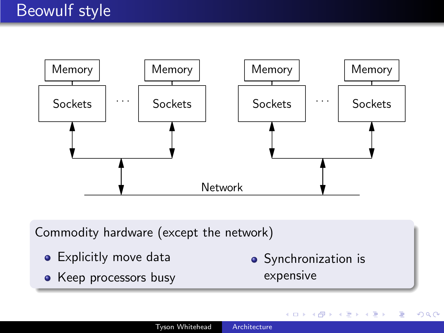

Commodity hardware (except the network)

- Explicitly move data
- Keep processors busy

• Synchronization is expensive

 $\leftarrow$ 

つくへ